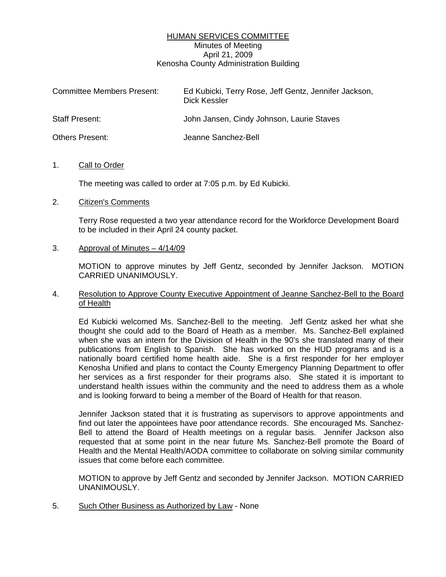## HUMAN SERVICES COMMITTEE Minutes of Meeting April 21, 2009 Kenosha County Administration Building

| <b>Committee Members Present:</b> | Ed Kubicki, Terry Rose, Jeff Gentz, Jennifer Jackson,<br>Dick Kessler |
|-----------------------------------|-----------------------------------------------------------------------|
| <b>Staff Present:</b>             | John Jansen, Cindy Johnson, Laurie Staves                             |
| <b>Others Present:</b>            | Jeanne Sanchez-Bell                                                   |

#### 1. Call to Order

The meeting was called to order at 7:05 p.m. by Ed Kubicki.

## 2. Citizen's Comments

Terry Rose requested a two year attendance record for the Workforce Development Board to be included in their April 24 county packet.

## 3. Approval of Minutes – 4/14/09

 MOTION to approve minutes by Jeff Gentz, seconded by Jennifer Jackson. MOTION CARRIED UNANIMOUSLY.

## 4. Resolution to Approve County Executive Appointment of Jeanne Sanchez-Bell to the Board of Health

 Ed Kubicki welcomed Ms. Sanchez-Bell to the meeting. Jeff Gentz asked her what she thought she could add to the Board of Heath as a member. Ms. Sanchez-Bell explained when she was an intern for the Division of Health in the 90's she translated many of their publications from English to Spanish. She has worked on the HUD programs and is a nationally board certified home health aide. She is a first responder for her employer Kenosha Unified and plans to contact the County Emergency Planning Department to offer her services as a first responder for their programs also. She stated it is important to understand health issues within the community and the need to address them as a whole and is looking forward to being a member of the Board of Health for that reason.

 Jennifer Jackson stated that it is frustrating as supervisors to approve appointments and find out later the appointees have poor attendance records. She encouraged Ms. Sanchez-Bell to attend the Board of Health meetings on a regular basis. Jennifer Jackson also requested that at some point in the near future Ms. Sanchez-Bell promote the Board of Health and the Mental Health/AODA committee to collaborate on solving similar community issues that come before each committee.

MOTION to approve by Jeff Gentz and seconded by Jennifer Jackson. MOTION CARRIED UNANIMOUSLY.

5. Such Other Business as Authorized by Law - None